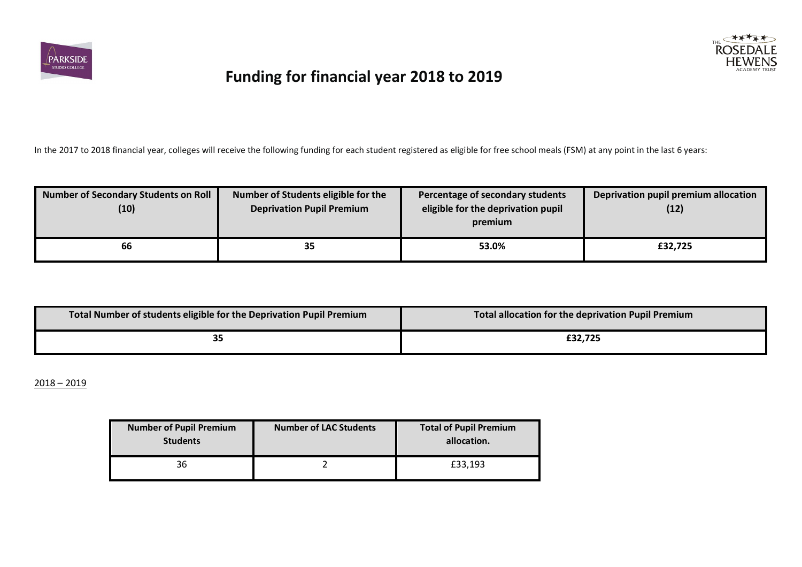



In the 2017 to 2018 financial year, colleges will receive the following funding for each student registered as eligible for free school meals (FSM) at any point in the last 6 years:

| Number of Secondary Students on Roll<br>(10) | Number of Students eligible for the<br><b>Deprivation Pupil Premium</b> | Percentage of secondary students<br>eligible for the deprivation pupil<br>premium | Deprivation pupil premium allocation<br>(12) |
|----------------------------------------------|-------------------------------------------------------------------------|-----------------------------------------------------------------------------------|----------------------------------------------|
| 66                                           | 35                                                                      | 53.0%                                                                             | £32,725                                      |

| Total Number of students eligible for the Deprivation Pupil Premium | Total allocation for the deprivation Pupil Premium |
|---------------------------------------------------------------------|----------------------------------------------------|
| 55                                                                  | £32.725                                            |

 $2018 - 2019$ 

| <b>Number of Pupil Premium</b><br><b>Students</b> | Number of LAC Students | <b>Total of Pupil Premium</b><br>allocation. |
|---------------------------------------------------|------------------------|----------------------------------------------|
| 36                                                |                        | £33,193                                      |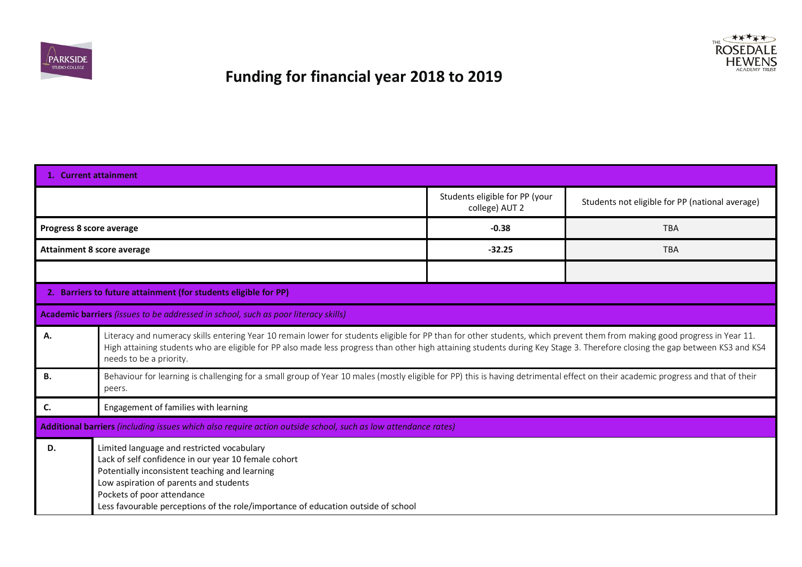



|                          | 1. Current attainment                                                                                                                                                                                                                                                                                                                                                                |                                                  |                                                 |  |  |  |
|--------------------------|--------------------------------------------------------------------------------------------------------------------------------------------------------------------------------------------------------------------------------------------------------------------------------------------------------------------------------------------------------------------------------------|--------------------------------------------------|-------------------------------------------------|--|--|--|
|                          |                                                                                                                                                                                                                                                                                                                                                                                      | Students eligible for PP (your<br>college) AUT 2 | Students not eligible for PP (national average) |  |  |  |
| Progress 8 score average |                                                                                                                                                                                                                                                                                                                                                                                      | $-0.38$                                          | <b>TBA</b>                                      |  |  |  |
|                          | <b>Attainment 8 score average</b>                                                                                                                                                                                                                                                                                                                                                    | $-32.25$                                         | <b>TBA</b>                                      |  |  |  |
|                          |                                                                                                                                                                                                                                                                                                                                                                                      |                                                  |                                                 |  |  |  |
|                          | 2. Barriers to future attainment (for students eligible for PP)                                                                                                                                                                                                                                                                                                                      |                                                  |                                                 |  |  |  |
|                          | Academic barriers (issues to be addressed in school, such as poor literacy skills)                                                                                                                                                                                                                                                                                                   |                                                  |                                                 |  |  |  |
| Α.                       | Literacy and numeracy skills entering Year 10 remain lower for students eligible for PP than for other students, which prevent them from making good progress in Year 11.<br>High attaining students who are eligible for PP also made less progress than other high attaining students during Key Stage 3. Therefore closing the gap between KS3 and KS4<br>needs to be a priority. |                                                  |                                                 |  |  |  |
| Β.                       | Behaviour for learning is challenging for a small group of Year 10 males (mostly eligible for PP) this is having detrimental effect on their academic progress and that of their<br>peers.                                                                                                                                                                                           |                                                  |                                                 |  |  |  |
| C.                       | Engagement of families with learning                                                                                                                                                                                                                                                                                                                                                 |                                                  |                                                 |  |  |  |
|                          | Additional barriers (including issues which also require action outside school, such as low attendance rates)                                                                                                                                                                                                                                                                        |                                                  |                                                 |  |  |  |
| D.                       | Limited language and restricted vocabulary<br>Lack of self confidence in our year 10 female cohort<br>Potentially inconsistent teaching and learning<br>Low aspiration of parents and students<br>Pockets of poor attendance<br>Less favourable perceptions of the role/importance of education outside of school                                                                    |                                                  |                                                 |  |  |  |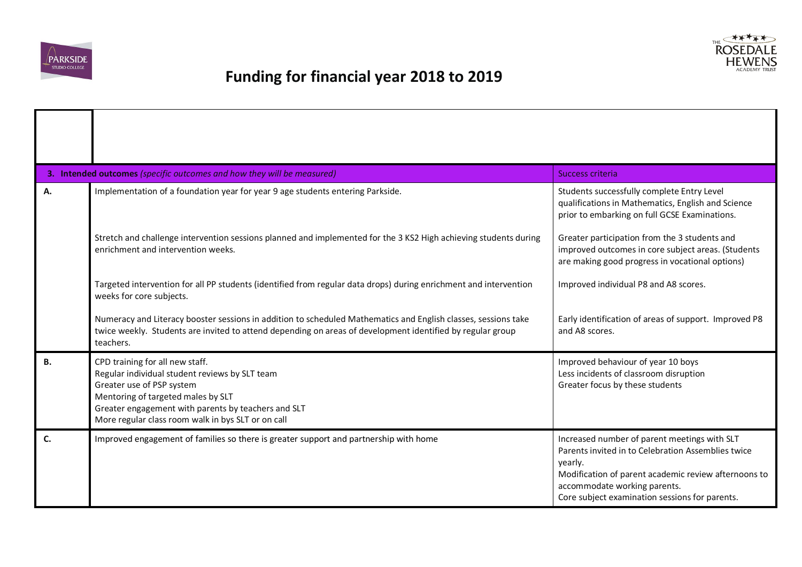



|           | 3. Intended outcomes (specific outcomes and how they will be measured)<br>Success criteria                                                                                                                                                                        |                                                                                                                                                                                                                                                         |  |  |  |  |  |
|-----------|-------------------------------------------------------------------------------------------------------------------------------------------------------------------------------------------------------------------------------------------------------------------|---------------------------------------------------------------------------------------------------------------------------------------------------------------------------------------------------------------------------------------------------------|--|--|--|--|--|
| Α.        | Implementation of a foundation year for year 9 age students entering Parkside.                                                                                                                                                                                    | Students successfully complete Entry Level<br>qualifications in Mathematics, English and Science<br>prior to embarking on full GCSE Examinations.                                                                                                       |  |  |  |  |  |
|           | Stretch and challenge intervention sessions planned and implemented for the 3 KS2 High achieving students during<br>enrichment and intervention weeks.                                                                                                            | Greater participation from the 3 students and<br>improved outcomes in core subject areas. (Students<br>are making good progress in vocational options)                                                                                                  |  |  |  |  |  |
|           | Targeted intervention for all PP students (identified from regular data drops) during enrichment and intervention<br>weeks for core subjects.                                                                                                                     | Improved individual P8 and A8 scores.                                                                                                                                                                                                                   |  |  |  |  |  |
|           | Numeracy and Literacy booster sessions in addition to scheduled Mathematics and English classes, sessions take<br>twice weekly. Students are invited to attend depending on areas of development identified by regular group<br>teachers.                         | Early identification of areas of support. Improved P8<br>and A8 scores.                                                                                                                                                                                 |  |  |  |  |  |
| <b>B.</b> | CPD training for all new staff.<br>Regular individual student reviews by SLT team<br>Greater use of PSP system<br>Mentoring of targeted males by SLT<br>Greater engagement with parents by teachers and SLT<br>More regular class room walk in bys SLT or on call | Improved behaviour of year 10 boys<br>Less incidents of classroom disruption<br>Greater focus by these students                                                                                                                                         |  |  |  |  |  |
| C.        | Improved engagement of families so there is greater support and partnership with home                                                                                                                                                                             | Increased number of parent meetings with SLT<br>Parents invited in to Celebration Assemblies twice<br>yearly.<br>Modification of parent academic review afternoons to<br>accommodate working parents.<br>Core subject examination sessions for parents. |  |  |  |  |  |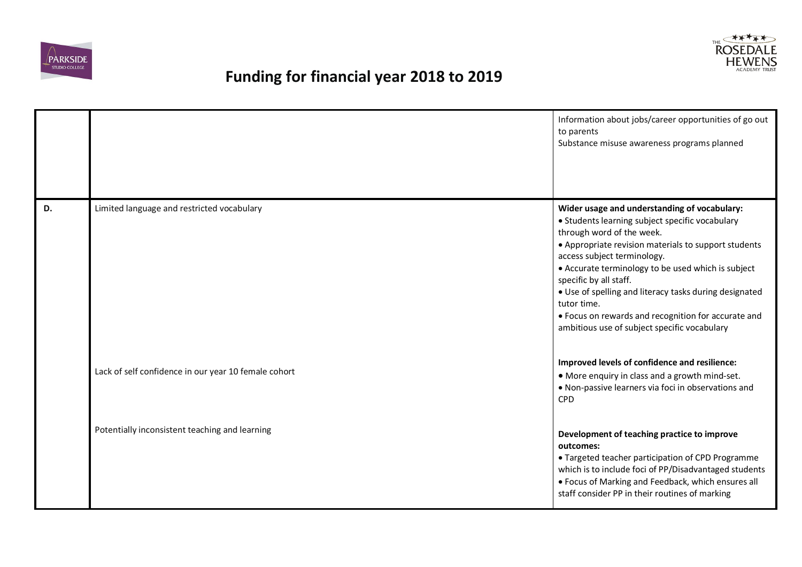



|    |                                                      | Information about jobs/career opportunities of go out<br>to parents<br>Substance misuse awareness programs planned                                                                                                                                                                                                                                                                                                                                                                  |
|----|------------------------------------------------------|-------------------------------------------------------------------------------------------------------------------------------------------------------------------------------------------------------------------------------------------------------------------------------------------------------------------------------------------------------------------------------------------------------------------------------------------------------------------------------------|
| D. | Limited language and restricted vocabulary           | Wider usage and understanding of vocabulary:<br>• Students learning subject specific vocabulary<br>through word of the week.<br>• Appropriate revision materials to support students<br>access subject terminology.<br>• Accurate terminology to be used which is subject<br>specific by all staff.<br>. Use of spelling and literacy tasks during designated<br>tutor time.<br>• Focus on rewards and recognition for accurate and<br>ambitious use of subject specific vocabulary |
|    | Lack of self confidence in our year 10 female cohort | Improved levels of confidence and resilience:<br>• More enquiry in class and a growth mind-set.<br>. Non-passive learners via foci in observations and<br><b>CPD</b>                                                                                                                                                                                                                                                                                                                |
|    | Potentially inconsistent teaching and learning       | Development of teaching practice to improve<br>outcomes:<br>• Targeted teacher participation of CPD Programme<br>which is to include foci of PP/Disadvantaged students<br>• Focus of Marking and Feedback, which ensures all<br>staff consider PP in their routines of marking                                                                                                                                                                                                      |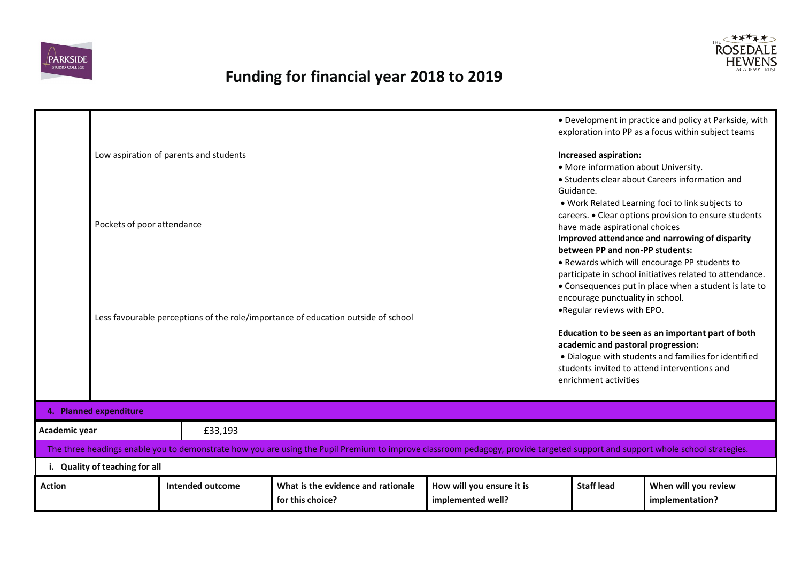



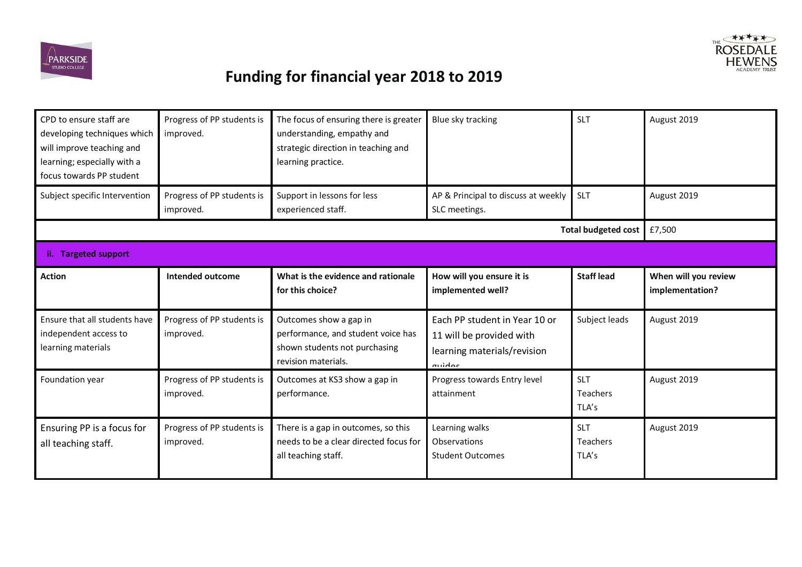



| CPD to ensure staff are<br>developing techniques which<br>will improve teaching and<br>learning; especially with a<br>focus towards PP student | Progress of PP students is<br>improved. | The focus of ensuring there is greater<br>understanding, empathy and<br>strategic direction in teaching and<br>learning practice. | Blue sky tracking                                                                                  | <b>SLT</b>                             | August 2019                             |
|------------------------------------------------------------------------------------------------------------------------------------------------|-----------------------------------------|-----------------------------------------------------------------------------------------------------------------------------------|----------------------------------------------------------------------------------------------------|----------------------------------------|-----------------------------------------|
| Subject specific Intervention                                                                                                                  | Progress of PP students is<br>improved. | Support in lessons for less<br>experienced staff.                                                                                 | AP & Principal to discuss at weekly<br>SLC meetings.                                               | SLT                                    | August 2019                             |
|                                                                                                                                                |                                         |                                                                                                                                   |                                                                                                    | <b>Total budgeted cost</b>             | £7,500                                  |
| ii. Targeted support                                                                                                                           |                                         |                                                                                                                                   |                                                                                                    |                                        |                                         |
| <b>Action</b>                                                                                                                                  | Intended outcome                        | What is the evidence and rationale<br>for this choice?                                                                            | How will you ensure it is<br>implemented well?                                                     | <b>Staff lead</b>                      | When will you review<br>implementation? |
| Ensure that all students have<br>independent access to<br>learning materials                                                                   | Progress of PP students is<br>improved. | Outcomes show a gap in<br>performance, and student voice has<br>shown students not purchasing<br>revision materials.              | Each PP student in Year 10 or<br>11 will be provided with<br>learning materials/revision<br>muidoc | Subject leads                          | August 2019                             |
| Foundation year                                                                                                                                | Progress of PP students is<br>improved. | Outcomes at KS3 show a gap in<br>performance.                                                                                     | Progress towards Entry level<br>attainment                                                         | <b>SLT</b><br><b>Teachers</b><br>TLA's | August 2019                             |
| Ensuring PP is a focus for<br>all teaching staff.                                                                                              | Progress of PP students is<br>improved. | There is a gap in outcomes, so this<br>needs to be a clear directed focus for<br>all teaching staff.                              | Learning walks<br>Observations<br><b>Student Outcomes</b>                                          | <b>SLT</b><br><b>Teachers</b><br>TLA's | August 2019                             |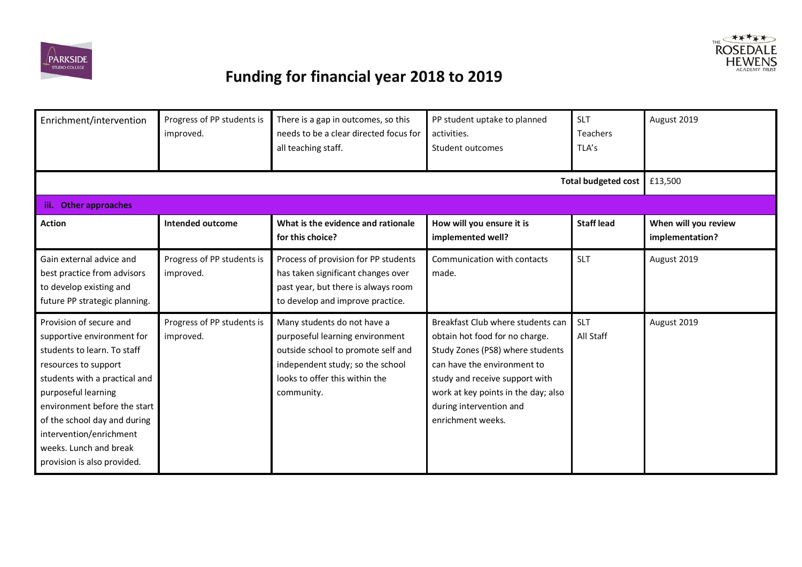



| Enrichment/intervention                                                                                                                                                                                                                                                                                                  | Progress of PP students is<br>improved. | There is a gap in outcomes, so this<br>needs to be a clear directed focus for<br>all teaching staff.                                                                                     | PP student uptake to planned<br>activities.<br>Student outcomes                                                                                                                                                                                                 | <b>SLT</b><br><b>Teachers</b><br>TLA's | August 2019                             |
|--------------------------------------------------------------------------------------------------------------------------------------------------------------------------------------------------------------------------------------------------------------------------------------------------------------------------|-----------------------------------------|------------------------------------------------------------------------------------------------------------------------------------------------------------------------------------------|-----------------------------------------------------------------------------------------------------------------------------------------------------------------------------------------------------------------------------------------------------------------|----------------------------------------|-----------------------------------------|
|                                                                                                                                                                                                                                                                                                                          |                                         |                                                                                                                                                                                          |                                                                                                                                                                                                                                                                 | <b>Total budgeted cost</b>             | £13,500                                 |
| <b>Other approaches</b><br>iii.                                                                                                                                                                                                                                                                                          |                                         |                                                                                                                                                                                          |                                                                                                                                                                                                                                                                 |                                        |                                         |
| <b>Action</b>                                                                                                                                                                                                                                                                                                            | <b>Intended outcome</b>                 | What is the evidence and rationale<br>for this choice?                                                                                                                                   | How will you ensure it is<br>implemented well?                                                                                                                                                                                                                  | <b>Staff lead</b>                      | When will you review<br>implementation? |
| Gain external advice and<br>best practice from advisors<br>to develop existing and<br>future PP strategic planning.                                                                                                                                                                                                      | Progress of PP students is<br>improved. | Process of provision for PP students<br>has taken significant changes over<br>past year, but there is always room<br>to develop and improve practice.                                    | Communication with contacts<br>made.                                                                                                                                                                                                                            | <b>SLT</b>                             | August 2019                             |
| Provision of secure and<br>supportive environment for<br>students to learn. To staff<br>resources to support<br>students with a practical and<br>purposeful learning<br>environment before the start<br>of the school day and during<br>intervention/enrichment<br>weeks. Lunch and break<br>provision is also provided. | Progress of PP students is<br>improved. | Many students do not have a<br>purposeful learning environment<br>outside school to promote self and<br>independent study; so the school<br>looks to offer this within the<br>community. | Breakfast Club where students can<br>obtain hot food for no charge.<br>Study Zones (PS8) where students<br>can have the environment to<br>study and receive support with<br>work at key points in the day; also<br>during intervention and<br>enrichment weeks. | <b>SLT</b><br>All Staff                | August 2019                             |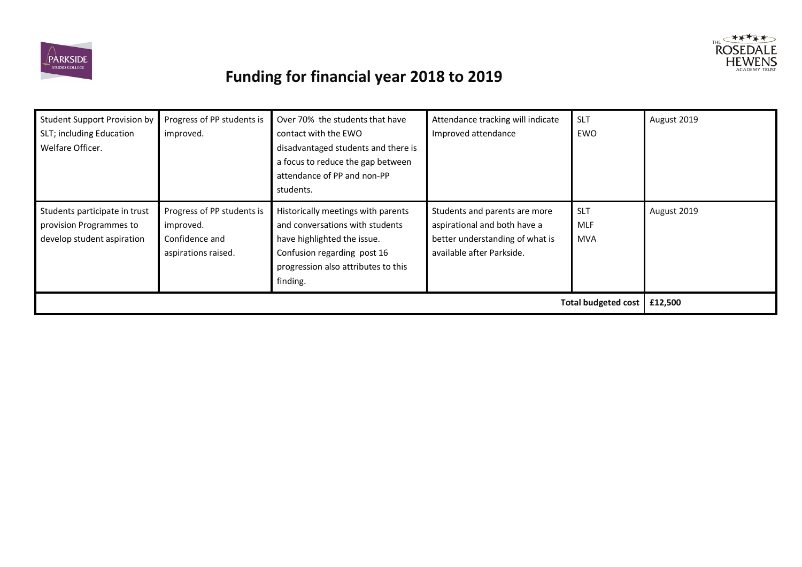



| <b>Student Support Provision by</b><br>SLT; including Education<br>Welfare Officer.    | Progress of PP students is<br>improved.                                          | Over 70% the students that have<br>contact with the EWO<br>disadvantaged students and there is<br>a focus to reduce the gap between<br>attendance of PP and non-PP<br>students.        | Attendance tracking will indicate<br>Improved attendance                                                                      | <b>SLT</b><br>EWO                      | August 2019 |
|----------------------------------------------------------------------------------------|----------------------------------------------------------------------------------|----------------------------------------------------------------------------------------------------------------------------------------------------------------------------------------|-------------------------------------------------------------------------------------------------------------------------------|----------------------------------------|-------------|
| Students participate in trust<br>provision Programmes to<br>develop student aspiration | Progress of PP students is<br>improved.<br>Confidence and<br>aspirations raised. | Historically meetings with parents<br>and conversations with students<br>have highlighted the issue.<br>Confusion regarding post 16<br>progression also attributes to this<br>finding. | Students and parents are more<br>aspirational and both have a<br>better understanding of what is<br>available after Parkside. | <b>SLT</b><br><b>MLF</b><br><b>MVA</b> | August 2019 |
| <b>Total budgeted cost</b><br>£12,500                                                  |                                                                                  |                                                                                                                                                                                        |                                                                                                                               |                                        |             |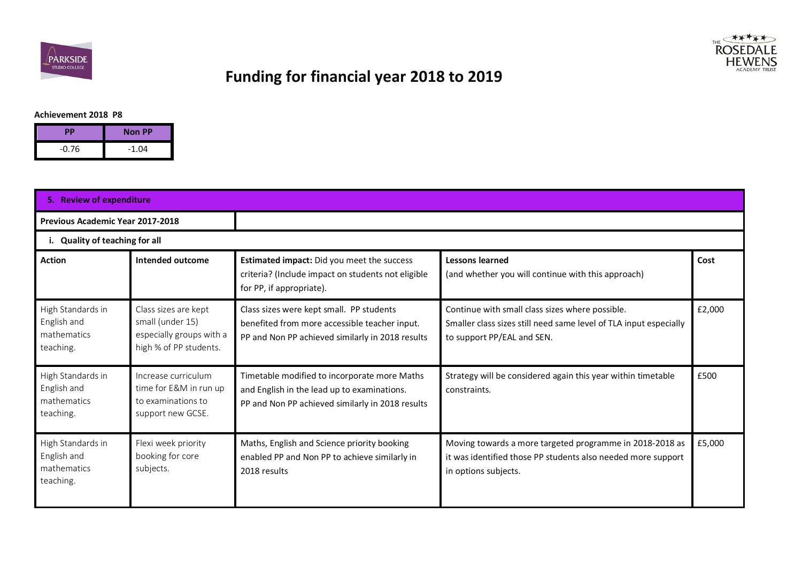



#### **Achievement 2018 P8**

| <b>PP</b> | <b>Non PP</b> |
|-----------|---------------|
| $-0.76$   | $-1.04$       |

|                                                              | 5. Review of expenditure                                                                       |                                                                                                                                                 |                                                                                                                                                    |        |  |  |
|--------------------------------------------------------------|------------------------------------------------------------------------------------------------|-------------------------------------------------------------------------------------------------------------------------------------------------|----------------------------------------------------------------------------------------------------------------------------------------------------|--------|--|--|
|                                                              | <b>Previous Academic Year 2017-2018</b>                                                        |                                                                                                                                                 |                                                                                                                                                    |        |  |  |
|                                                              | i. Quality of teaching for all                                                                 |                                                                                                                                                 |                                                                                                                                                    |        |  |  |
| <b>Action</b>                                                | Intended outcome                                                                               | Estimated impact: Did you meet the success<br>criteria? (Include impact on students not eligible<br>for PP, if appropriate).                    | <b>Lessons learned</b><br>(and whether you will continue with this approach)                                                                       | Cost   |  |  |
| High Standards in<br>English and<br>mathematics<br>teaching. | Class sizes are kept<br>small (under 15)<br>especially groups with a<br>high % of PP students. | Class sizes were kept small. PP students<br>benefited from more accessible teacher input.<br>PP and Non PP achieved similarly in 2018 results   | Continue with small class sizes where possible.<br>Smaller class sizes still need same level of TLA input especially<br>to support PP/EAL and SEN. | £2,000 |  |  |
| High Standards in<br>English and<br>mathematics<br>teaching. | Increase curriculum<br>time for E&M in run up<br>to examinations to<br>support new GCSE.       | Timetable modified to incorporate more Maths<br>and English in the lead up to examinations.<br>PP and Non PP achieved similarly in 2018 results | Strategy will be considered again this year within timetable<br>constraints.                                                                       | £500   |  |  |
| High Standards in<br>English and<br>mathematics<br>teaching. | Flexi week priority<br>booking for core<br>subjects.                                           | Maths, English and Science priority booking<br>enabled PP and Non PP to achieve similarly in<br>2018 results                                    | Moving towards a more targeted programme in 2018-2018 as<br>it was identified those PP students also needed more support<br>in options subjects.   | £5,000 |  |  |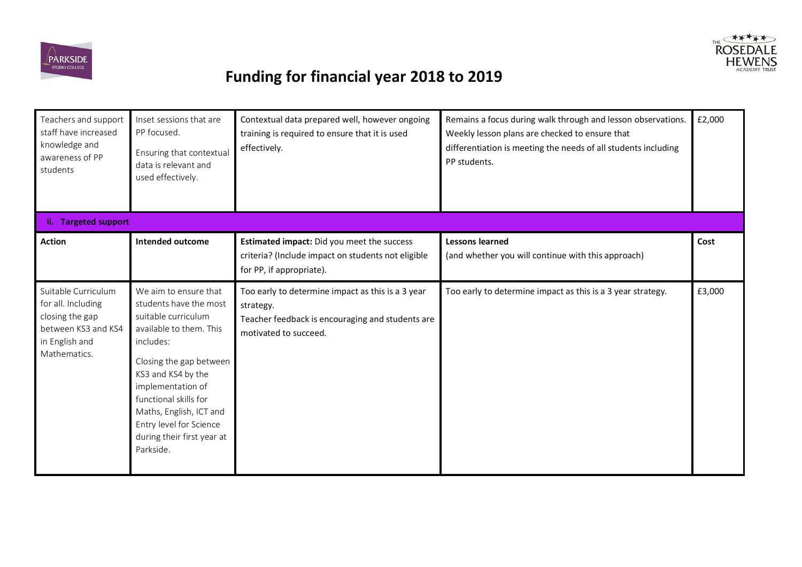



| Teachers and support<br>staff have increased<br>knowledge and<br>awareness of PP<br>students                          | Inset sessions that are<br>PP focused.<br>Ensuring that contextual<br>data is relevant and<br>used effectively.                                                                                                                                                                                                | Contextual data prepared well, however ongoing<br>training is required to ensure that it is used<br>effectively.                            | Remains a focus during walk through and lesson observations.<br>Weekly lesson plans are checked to ensure that<br>differentiation is meeting the needs of all students including<br>PP students. | £2,000 |
|-----------------------------------------------------------------------------------------------------------------------|----------------------------------------------------------------------------------------------------------------------------------------------------------------------------------------------------------------------------------------------------------------------------------------------------------------|---------------------------------------------------------------------------------------------------------------------------------------------|--------------------------------------------------------------------------------------------------------------------------------------------------------------------------------------------------|--------|
| ii. Targeted support                                                                                                  |                                                                                                                                                                                                                                                                                                                |                                                                                                                                             |                                                                                                                                                                                                  |        |
| <b>Action</b>                                                                                                         | <b>Intended outcome</b>                                                                                                                                                                                                                                                                                        | Estimated impact: Did you meet the success<br>criteria? (Include impact on students not eligible<br>for PP, if appropriate).                | <b>Lessons learned</b><br>(and whether you will continue with this approach)                                                                                                                     | Cost   |
| Suitable Curriculum<br>for all. Including<br>closing the gap<br>between KS3 and KS4<br>in English and<br>Mathematics. | We aim to ensure that<br>students have the most<br>suitable curriculum<br>available to them. This<br>includes:<br>Closing the gap between<br>KS3 and KS4 by the<br>implementation of<br>functional skills for<br>Maths, English, ICT and<br>Entry level for Science<br>during their first year at<br>Parkside. | Too early to determine impact as this is a 3 year<br>strategy.<br>Teacher feedback is encouraging and students are<br>motivated to succeed. | Too early to determine impact as this is a 3 year strategy.                                                                                                                                      | £3,000 |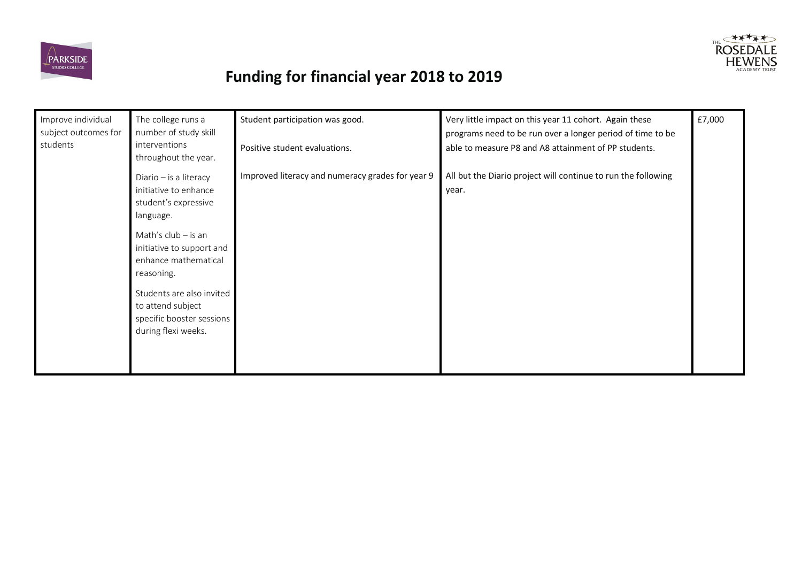



| Improve individual<br>subject outcomes for<br>students | The college runs a<br>number of study skill<br>interventions<br>throughout the year.                                                                                                                                                                                                   | Student participation was good.<br>Positive student evaluations. | Very little impact on this year 11 cohort. Again these<br>programs need to be run over a longer period of time to be<br>able to measure P8 and A8 attainment of PP students. | £7,000 |
|--------------------------------------------------------|----------------------------------------------------------------------------------------------------------------------------------------------------------------------------------------------------------------------------------------------------------------------------------------|------------------------------------------------------------------|------------------------------------------------------------------------------------------------------------------------------------------------------------------------------|--------|
|                                                        | Diario - is a literacy<br>initiative to enhance<br>student's expressive<br>language.<br>Math's $club - is an$<br>initiative to support and<br>enhance mathematical<br>reasoning.<br>Students are also invited<br>to attend subject<br>specific booster sessions<br>during flexi weeks. | Improved literacy and numeracy grades for year 9                 | All but the Diario project will continue to run the following<br>year.                                                                                                       |        |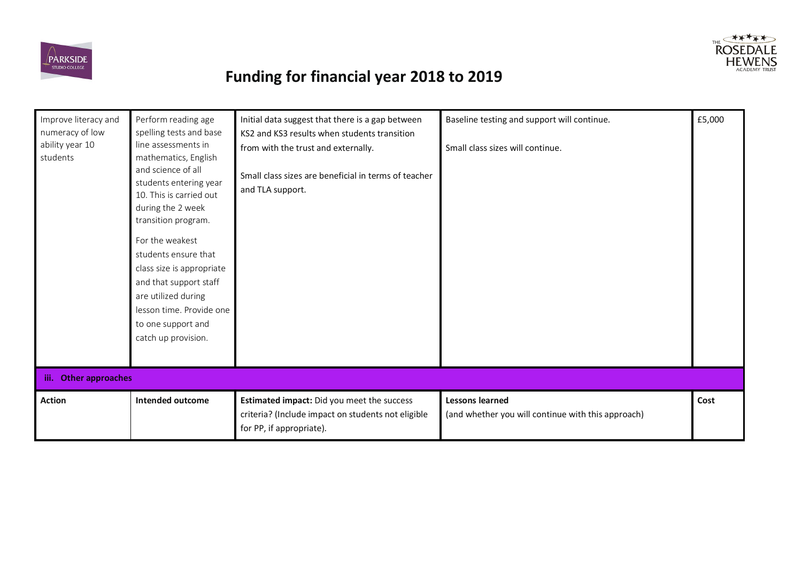



| Improve literacy and<br>numeracy of low<br>ability year 10<br>students | Perform reading age<br>spelling tests and base<br>line assessments in<br>mathematics, English<br>and science of all<br>students entering year<br>10. This is carried out<br>during the 2 week<br>transition program.<br>For the weakest<br>students ensure that<br>class size is appropriate<br>and that support staff<br>are utilized during<br>lesson time. Provide one<br>to one support and<br>catch up provision. | Initial data suggest that there is a gap between<br>KS2 and KS3 results when students transition<br>from with the trust and externally.<br>Small class sizes are beneficial in terms of teacher<br>and TLA support. | Baseline testing and support will continue.<br>Small class sizes will continue. | £5,000 |  |  |  |  |
|------------------------------------------------------------------------|------------------------------------------------------------------------------------------------------------------------------------------------------------------------------------------------------------------------------------------------------------------------------------------------------------------------------------------------------------------------------------------------------------------------|---------------------------------------------------------------------------------------------------------------------------------------------------------------------------------------------------------------------|---------------------------------------------------------------------------------|--------|--|--|--|--|
| iii. Other approaches                                                  |                                                                                                                                                                                                                                                                                                                                                                                                                        |                                                                                                                                                                                                                     |                                                                                 |        |  |  |  |  |
| <b>Action</b>                                                          | <b>Intended outcome</b>                                                                                                                                                                                                                                                                                                                                                                                                | Estimated impact: Did you meet the success<br>criteria? (Include impact on students not eligible<br>for PP, if appropriate).                                                                                        | <b>Lessons learned</b><br>(and whether you will continue with this approach)    | Cost   |  |  |  |  |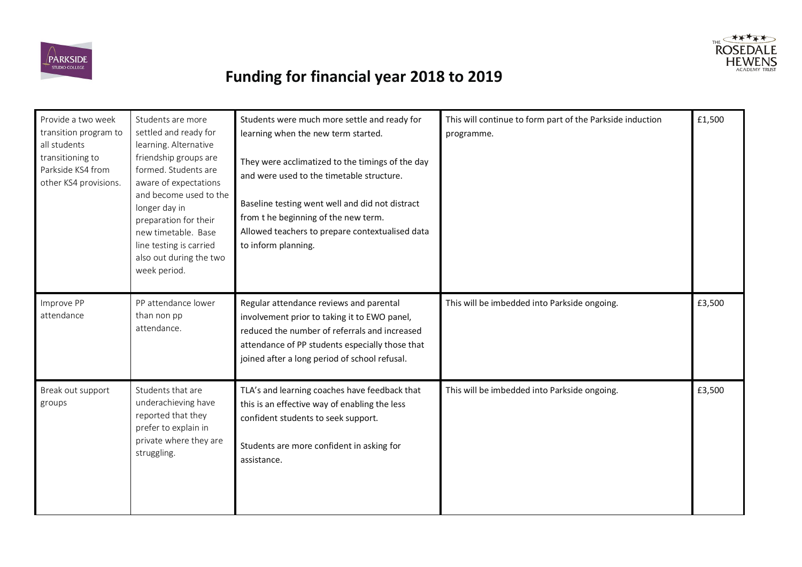



| Provide a two week<br>transition program to<br>all students<br>transitioning to<br>Parkside KS4 from<br>other KS4 provisions. | Students are more<br>settled and ready for<br>learning. Alternative<br>friendship groups are<br>formed. Students are<br>aware of expectations<br>and become used to the<br>longer day in<br>preparation for their<br>new timetable. Base<br>line testing is carried<br>also out during the two<br>week period. | Students were much more settle and ready for<br>learning when the new term started.<br>They were acclimatized to the timings of the day<br>and were used to the timetable structure.<br>Baseline testing went well and did not distract<br>from the beginning of the new term.<br>Allowed teachers to prepare contextualised data<br>to inform planning. | This will continue to form part of the Parkside induction<br>programme. | £1,500 |
|-------------------------------------------------------------------------------------------------------------------------------|----------------------------------------------------------------------------------------------------------------------------------------------------------------------------------------------------------------------------------------------------------------------------------------------------------------|----------------------------------------------------------------------------------------------------------------------------------------------------------------------------------------------------------------------------------------------------------------------------------------------------------------------------------------------------------|-------------------------------------------------------------------------|--------|
| Improve PP<br>attendance                                                                                                      | PP attendance lower<br>than non pp<br>attendance.                                                                                                                                                                                                                                                              | Regular attendance reviews and parental<br>involvement prior to taking it to EWO panel,<br>reduced the number of referrals and increased<br>attendance of PP students especially those that<br>joined after a long period of school refusal.                                                                                                             | This will be imbedded into Parkside ongoing.                            | £3,500 |
| Break out support<br>groups                                                                                                   | Students that are<br>underachieving have<br>reported that they<br>prefer to explain in<br>private where they are<br>struggling.                                                                                                                                                                                | TLA's and learning coaches have feedback that<br>this is an effective way of enabling the less<br>confident students to seek support.<br>Students are more confident in asking for<br>assistance.                                                                                                                                                        | This will be imbedded into Parkside ongoing.                            | £3,500 |